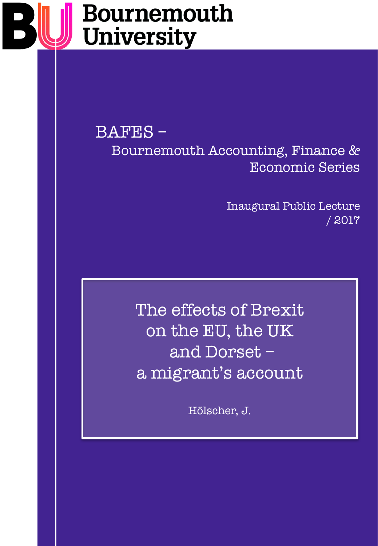# Bournemouth **University**

BAFES – Bournemouth Accounting, Finance & Economic Series

> Inaugural Public Lecture / 2017

The effects of Brexit on the EU, the UK and Dorset – a migrant's account

Hölscher, J.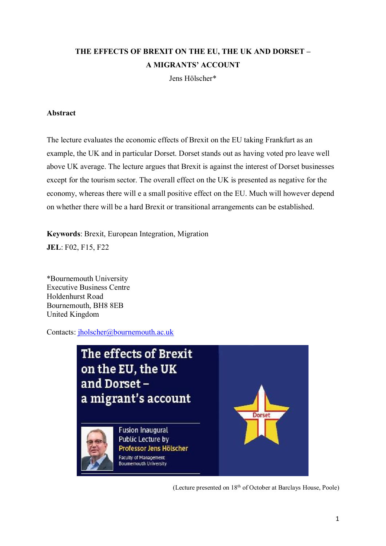# **THE EFFECTS OF BREXIT ON THE EU, THE UK AND DORSET – A MIGRANTS' ACCOUNT**

Jens Hölscher\*

#### **Abstract**

The lecture evaluates the economic effects of Brexit on the EU taking Frankfurt as an example, the UK and in particular Dorset. Dorset stands out as having voted pro leave well above UK average. The lecture argues that Brexit is against the interest of Dorset businesses except for the tourism sector. The overall effect on the UK is presented as negative for the economy, whereas there will e a small positive effect on the EU. Much will however depend on whether there will be a hard Brexit or transitional arrangements can be established.

**Keywords**: Brexit, European Integration, Migration **JEL**: F02, F15, F22

\*Bournemouth University Executive Business Centre Holdenhurst Road Bournemouth, BH8 8EB United Kingdom

Contacts: [jholscher@bournemouth.ac.uk](mailto:jholscher@bournemouth.ac.uk)



(Lecture presented on 18th of October at Barclays House, Poole)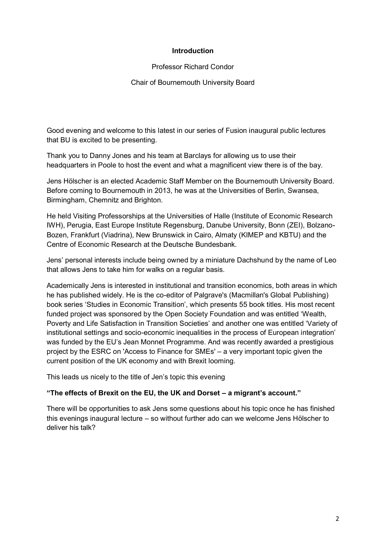#### **Introduction**

#### Professor Richard Condor

#### Chair of Bournemouth University Board

Good evening and welcome to this latest in our series of Fusion inaugural public lectures that BU is excited to be presenting.

Thank you to Danny Jones and his team at Barclays for allowing us to use their headquarters in Poole to host the event and what a magnificent view there is of the bay.

Jens Hölscher is an elected Academic Staff Member on the Bournemouth University Board. Before coming to Bournemouth in 2013, he was at the Universities of Berlin, Swansea, Birmingham, Chemnitz and Brighton.

He held Visiting Professorships at the Universities of Halle (Institute of Economic Research IWH), Perugia, East Europe Institute Regensburg, Danube University, Bonn (ZEI), Bolzano-Bozen, Frankfurt (Viadrina), New Brunswick in Cairo, Almaty (KIMEP and KBTU) and the Centre of Economic Research at the Deutsche Bundesbank.

Jens' personal interests include being owned by a miniature Dachshund by the name of Leo that allows Jens to take him for walks on a regular basis.

Academically Jens is interested in institutional and transition economics, both areas in which he has published widely. He is the co-editor of Palgrave's (Macmillan's Global Publishing) book series 'Studies in Economic Transition', which presents 55 book titles. His most recent funded project was sponsored by the Open Society Foundation and was entitled 'Wealth, Poverty and Life Satisfaction in Transition Societies' and another one was entitled 'Variety of institutional settings and socio-economic inequalities in the process of European integration' was funded by the EU's Jean Monnet Programme. And was recently awarded a prestigious project by the ESRC on 'Access to Finance for SMEs' – a very important topic given the current position of the UK economy and with Brexit looming.

This leads us nicely to the title of Jen's topic this evening

### **"The effects of Brexit on the EU, the UK and Dorset – a migrant's account."**

There will be opportunities to ask Jens some questions about his topic once he has finished this evenings inaugural lecture – so without further ado can we welcome Jens Hӧlscher to deliver his talk?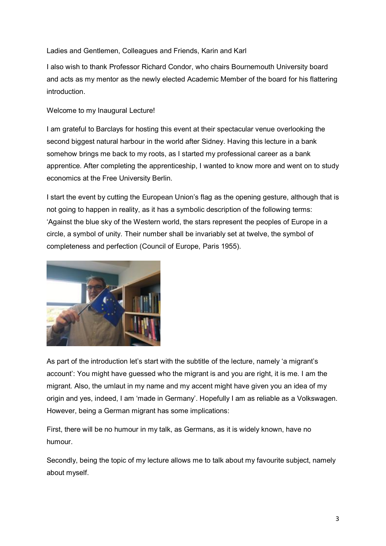#### Ladies and Gentlemen, Colleagues and Friends, Karin and Karl

I also wish to thank Professor Richard Condor, who chairs Bournemouth University board and acts as my mentor as the newly elected Academic Member of the board for his flattering introduction.

## Welcome to my Inaugural Lecture!

I am grateful to Barclays for hosting this event at their spectacular venue overlooking the second biggest natural harbour in the world after Sidney. Having this lecture in a bank somehow brings me back to my roots, as I started my professional career as a bank apprentice. After completing the apprenticeship, I wanted to know more and went on to study economics at the Free University Berlin.

I start the event by cutting the European Union's flag as the opening gesture, although that is not going to happen in reality, as it has a symbolic description of the following terms: 'Against the blue sky of the Western world, the stars represent the peoples of Europe in a circle, a symbol of unity. Their number shall be invariably set at twelve, the symbol of completeness and perfection (Council of Europe, Paris 1955).



As part of the introduction let's start with the subtitle of the lecture, namely 'a migrant's account': You might have guessed who the migrant is and you are right, it is me. I am the migrant. Also, the umlaut in my name and my accent might have given you an idea of my origin and yes, indeed, I am 'made in Germany'. Hopefully I am as reliable as a Volkswagen. However, being a German migrant has some implications:

First, there will be no humour in my talk, as Germans, as it is widely known, have no humour.

Secondly, being the topic of my lecture allows me to talk about my favourite subject, namely about myself.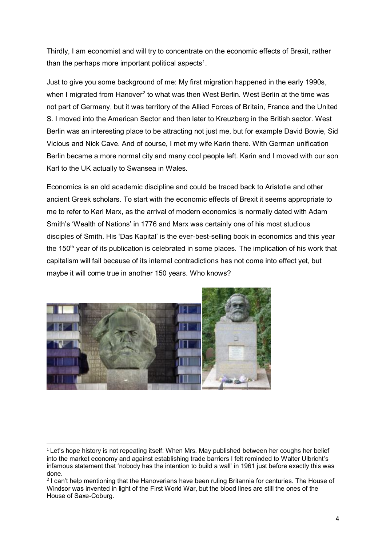Thirdly, I am economist and will try to concentrate on the economic effects of Brexit, rather than the perhaps more important political aspects<sup>1</sup>.

Just to give you some background of me: My first migration happened in the early 1990s, when I migrated from Hanover<sup>2</sup> to what was then West Berlin. West Berlin at the time was not part of Germany, but it was territory of the Allied Forces of Britain, France and the United S. I moved into the American Sector and then later to Kreuzberg in the British sector. West Berlin was an interesting place to be attracting not just me, but for example David Bowie, Sid Vicious and Nick Cave. And of course, I met my wife Karin there. With German unification Berlin became a more normal city and many cool people left. Karin and I moved with our son Karl to the UK actually to Swansea in Wales.

Economics is an old academic discipline and could be traced back to Aristotle and other ancient Greek scholars. To start with the economic effects of Brexit it seems appropriate to me to refer to Karl Marx, as the arrival of modern economics is normally dated with Adam Smith's 'Wealth of Nations' in 1776 and Marx was certainly one of his most studious disciples of Smith. His 'Das Kapital' is the ever-best-selling book in economics and this year the  $150<sup>th</sup>$  year of its publication is celebrated in some places. The implication of his work that capitalism will fail because of its internal contradictions has not come into effect yet, but maybe it will come true in another 150 years. Who knows?



<sup>&</sup>lt;sup>1</sup> Let's hope history is not repeating itself: When Mrs. May published between her coughs her belief into the market economy and against establishing trade barriers I felt reminded to Walter Ulbricht's infamous statement that 'nobody has the intention to build a wall' in 1961 just before exactly this was done.

<sup>2</sup> I can't help mentioning that the Hanoverians have been ruling Britannia for centuries. The House of Windsor was invented in light of the First World War, but the blood lines are still the ones of the House of Saxe-Coburg.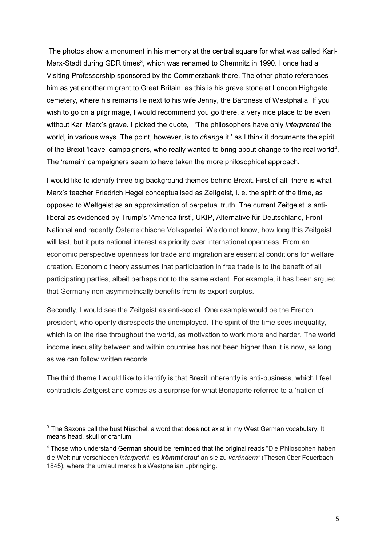The photos show a monument in his memory at the central square for what was called Karl-Marx-Stadt during GDR times<sup>3</sup>, which was renamed to Chemnitz in 1990. I once had a Visiting Professorship sponsored by the Commerzbank there. The other photo references him as yet another migrant to Great Britain, as this is his grave stone at London Highgate cemetery, where his remains lie next to his wife Jenny, the Baroness of Westphalia. If you wish to go on a pilgrimage, I would recommend you go there, a very nice place to be even without Karl Marx's grave. I picked the quote, 'The philosophers have only *interpreted* the world, in various ways. The point, however, is to *change* it.' as I think it documents the spirit of the Brexit 'leave' campaigners, who really wanted to bring about change to the real world<sup>4</sup>. The 'remain' campaigners seem to have taken the more philosophical approach.

I would like to identify three big background themes behind Brexit. First of all, there is what Marx's teacher Friedrich Hegel conceptualised as Zeitgeist, i. e. the spirit of the time, as opposed to Weltgeist as an approximation of perpetual truth. The current Zeitgeist is antiliberal as evidenced by Trump's 'America first', UKIP, Alternative für Deutschland, Front National and recently Österreichische Volkspartei. We do not know, how long this Zeitgeist will last, but it puts national interest as priority over international openness. From an economic perspective openness for trade and migration are essential conditions for welfare creation. Economic theory assumes that participation in free trade is to the benefit of all participating parties, albeit perhaps not to the same extent. For example, it has been argued that Germany non-asymmetrically benefits from its export surplus.

Secondly, I would see the Zeitgeist as anti-social. One example would be the French president, who openly disrespects the unemployed. The spirit of the time sees inequality, which is on the rise throughout the world, as motivation to work more and harder. The world income inequality between and within countries has not been higher than it is now, as long as we can follow written records.

The third theme I would like to identify is that Brexit inherently is anti-business, which I feel contradicts Zeitgeist and comes as a surprise for what Bonaparte referred to a 'nation of

.

 $3$  The Saxons call the bust Nüschel, a word that does not exist in my West German vocabulary. It means head, skull or cranium.

<sup>4</sup> Those who understand German should be reminded that the original reads "Die Philosophen haben die Welt nur verschieden *interpretirt*, es *kömmt* drauf an sie zu *verändern"* (Thesen über Feuerbach 1845), where the umlaut marks his Westphalian upbringing.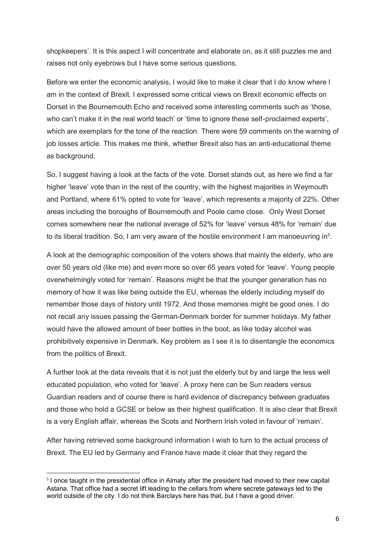shopkeepers'. It is this aspect I will concentrate and elaborate on, as it still puzzles me and raises not only eyebrows but I have some serious questions.

Before we enter the economic analysis, I would like to make it clear that I do know where I am in the context of Brexit. I expressed some critical views on Brexit economic effects on Dorset in the Bournemouth Echo and received some interesting comments such as 'those, who can't make it in the real world teach' or 'time to ignore these self-proclaimed experts', which are exemplars for the tone of the reaction. There were 59 comments on the warning of job losses article. This makes me think, whether Brexit also has an anti-educational theme as background.

So, I suggest having a look at the facts of the vote. Dorset stands out, as here we find a far higher 'leave' vote than in the rest of the country, with the highest majorities in Weymouth and Portland, where 61% opted to vote for 'leave', which represents a majority of 22%. Other areas including the boroughs of Bournemouth and Poole came close. Only West Dorset comes somewhere near the national average of 52% for 'leave' versus 48% for 'remain' due to its liberal tradition. So, I am very aware of the hostile environment I am manoeuvring in<sup>5</sup>.

A look at the demographic composition of the voters shows that mainly the elderly, who are over 50 years old (like me) and even more so over 65 years voted for 'leave'. Young people overwhelmingly voted for 'remain'. Reasons might be that the younger generation has no memory of how it was like being outside the EU, whereas the elderly including myself do remember those days of history until 1972. And those memories might be good ones. I do not recall any issues passing the German-Denmark border for summer holidays. My father would have the allowed amount of beer bottles in the boot, as like today alcohol was prohibitively expensive in Denmark. Key problem as I see it is to disentangle the economics from the politics of Brexit.

A further look at the data reveals that it is not just the elderly but by and large the less well educated population, who voted for 'leave'. A proxy here can be Sun readers versus Guardian readers and of course there is hard evidence of discrepancy between graduates and those who hold a GCSE or below as their highest qualification. It is also clear that Brexit is a very English affair, whereas the Scots and Northern Irish voted in favour of 'remain'.

After having retrieved some background information I wish to turn to the actual process of Brexit. The EU led by Germany and France have made it clear that they regard the

 <sup>5</sup> I once taught in the presidential office in Almaty after the president had moved to their new capital Astana. That office had a secret lift leading to the cellars from where secrete gateways led to the world outside of the city. I do not think Barclays here has that, but I have a good driver.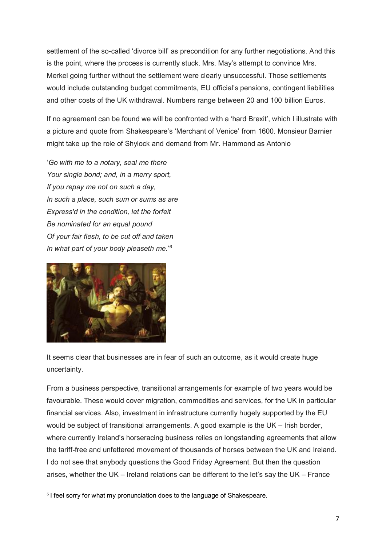settlement of the so-called 'divorce bill' as precondition for any further negotiations. And this is the point, where the process is currently stuck. Mrs. May's attempt to convince Mrs. Merkel going further without the settlement were clearly unsuccessful. Those settlements would include outstanding budget commitments, EU official's pensions, contingent liabilities and other costs of the UK withdrawal. Numbers range between 20 and 100 billion Euros.

If no agreement can be found we will be confronted with a 'hard Brexit', which I illustrate with a picture and quote from Shakespeare's 'Merchant of Venice' from 1600. Monsieur Barnier might take up the role of Shylock and demand from Mr. Hammond as Antonio

'*Go with me to a notary, seal me there Your single bond; and, in a merry sport, If you repay me not on such a day, In such a place, such sum or sums as are Express'd in the condition, let the forfeit Be nominated for an equal pound Of your fair flesh, to be cut off and taken In what part of your body pleaseth me.*' 6



It seems clear that businesses are in fear of such an outcome, as it would create huge uncertainty.

From a business perspective, transitional arrangements for example of two years would be favourable. These would cover migration, commodities and services, for the UK in particular financial services. Also, investment in infrastructure currently hugely supported by the EU would be subject of transitional arrangements. A good example is the UK – Irish border, where currently Ireland's horseracing business relies on longstanding agreements that allow the tariff-free and unfettered movement of thousands of horses between the UK and Ireland. I do not see that anybody questions the Good Friday Agreement. But then the question arises, whether the UK – Ireland relations can be different to the let's say the UK – France

 <sup>6</sup> I feel sorry for what my pronunciation does to the language of Shakespeare.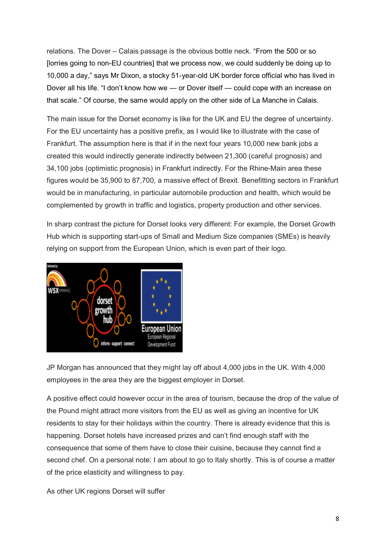relations. The Dover – Calais passage is the obvious bottle neck. "From the 500 or so [lorries going to non-EU countries] that we process now, we could suddenly be doing up to 10,000 a day," says Mr Dixon, a stocky 51-year-old UK border force official who has lived in Dover all his life. "I don't know how we — or Dover itself — could cope with an increase on that scale." Of course, the same would apply on the other side of La Manche in Calais.

The main issue for the Dorset economy is like for the UK and EU the degree of uncertainty. For the EU uncertainty has a positive prefix, as I would like to illustrate with the case of Frankfurt. The assumption here is that if in the next four years 10,000 new bank jobs a created this would indirectly generate indirectly between 21,300 (careful prognosis) and 34,100 jobs (optimistic prognosis) in Frankfurt indirectly. For the Rhine-Main area these figures would be 35,900 to 87,700, a massive effect of Brexit. Benefitting sectors in Frankfurt would be in manufacturing, in particular automobile production and health, which would be complemented by growth in traffic and logistics, property production and other services.

In sharp contrast the picture for Dorset looks very different: For example, the Dorset Growth Hub which is supporting start-ups of Small and Medium Size companies (SMEs) is heavily relying on support from the European Union, which is even part of their logo.



JP Morgan has announced that they might lay off about 4,000 jobs in the UK. With 4,000 employees in the area they are the biggest employer in Dorset.

A positive effect could however occur in the area of tourism, because the drop of the value of the Pound might attract more visitors from the EU as well as giving an incentive for UK residents to stay for their holidays within the country. There is already evidence that this is happening. Dorset hotels have increased prizes and can't find enough staff with the consequence that some of them have to close their cuisine, because they cannot find a second chef. On a personal note: I am about to go to Italy shortly. This is of course a matter of the price elasticity and willingness to pay.

As other UK regions Dorset will suffer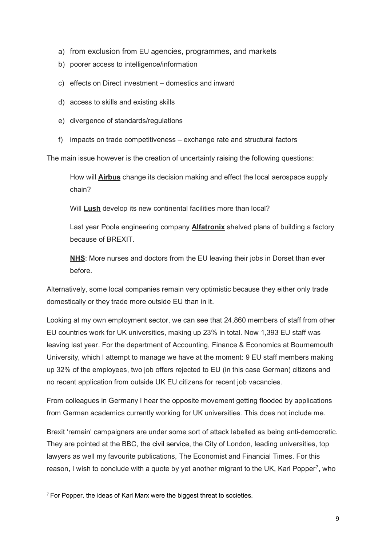- a) from exclusion from EU agencies, programmes, and markets
- b) poorer access to intelligence/information
- c) effects on Direct investment domestics and inward
- d) access to skills and existing skills
- e) divergence of standards/regulations
- f) impacts on trade competitiveness exchange rate and structural factors

The main issue however is the creation of uncertainty raising the following questions:

How will **Airbus** change its decision making and effect the local aerospace supply chain?

Will **Lush** develop its new continental facilities more than local?

Last year Poole engineering company **Alfatronix** shelved plans of building a factory because of BREXIT.

**NHS**: More nurses and doctors from the EU leaving their jobs in Dorset than ever before.

Alternatively, some local companies remain very optimistic because they either only trade domestically or they trade more outside EU than in it.

Looking at my own employment sector, we can see that 24,860 members of staff from other EU countries work for UK universities, making up 23% in total. Now 1,393 EU staff was leaving last year. For the department of Accounting, Finance & Economics at Bournemouth University, which I attempt to manage we have at the moment: 9 EU staff members making up 32% of the employees, two job offers rejected to EU (in this case German) citizens and no recent application from outside UK EU citizens for recent job vacancies.

From colleagues in Germany I hear the opposite movement getting flooded by applications from German academics currently working for UK universities. This does not include me.

Brexit 'remain' campaigners are under some sort of attack labelled as being anti-democratic. They are pointed at the BBC, the [civil service,](https://www.ft.com/content/1ef81266-ae9c-11e7-aab9-abaa44b1e130) the City of London, leading universities, top lawyers as well my favourite publications, The Economist and Financial Times. For this reason, I wish to conclude with a quote by yet another migrant to the UK, Karl Popper<sup>7</sup>, who

 <sup>7</sup> For Popper, the ideas of Karl Marx were the biggest threat to societies.